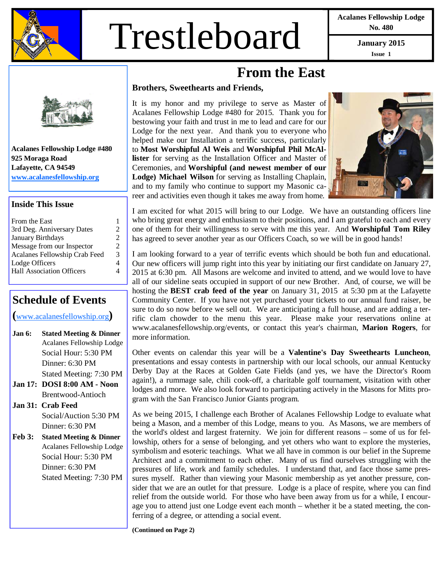

# Trestleboard **January 2015**

**Acalanes Fellowship Lodge No. 480** 

**Issue 1** 



**Acalanes Fellowship Lodge #480 925 Moraga Road Lafayette, CA 94549 www.acalanesfellowship.org**

#### **Inside This Issue**

| From the East                    |                             |
|----------------------------------|-----------------------------|
| 3rd Deg. Anniversary Dates       | $\mathcal{D}_{\cdot}$       |
| <b>January Birthdays</b>         | $\mathcal{D}_{\mathcal{L}}$ |
| Message from our Inspector       | 2                           |
| Acalanes Fellowship Crab Feed    | 3                           |
| Lodge Officers                   | 4                           |
| <b>Hall Association Officers</b> |                             |
|                                  |                             |

#### **Schedule of Events**

**(**www.acalanesfellowship.org**)** 

- **Jan 6: Stated Meeting & Dinner** Acalanes Fellowship Lodge Social Hour: 5:30 PM Dinner: 6:30 PM Stated Meeting: 7:30 PM
- **Jan 17: DOSI 8:00 AM Noon**  Brentwood-Antioch

**Jan 31: Crab Feed**  Social/Auction 5:30 PM Dinner: 6:30 PM

**Feb 3: Stated Meeting & Dinner** Acalanes Fellowship Lodge Social Hour: 5:30 PM Dinner: 6:30 PM Stated Meeting: 7:30 PM

### **From the East**

#### **Brothers, Sweethearts and Friends,**

It is my honor and my privilege to serve as Master of Acalanes Fellowship Lodge #480 for 2015. Thank you for bestowing your faith and trust in me to lead and care for our Lodge for the next year. And thank you to everyone who helped make our Installation a terrific success, particularly to **Most Worshipful Al Weis** and **Worshipful Phil McAllister** for serving as the Installation Officer and Master of Ceremonies, and **Worshipful (and newest member of our Lodge) Michael Wilson** for serving as Installing Chaplain, and to my family who continue to support my Masonic career and activities even though it takes me away from home.



I am excited for what 2015 will bring to our Lodge. We have an outstanding officers line who bring great energy and enthusiasm to their positions, and I am grateful to each and every one of them for their willingness to serve with me this year. And **Worshipful Tom Riley**  has agreed to sever another year as our Officers Coach, so we will be in good hands!

I am looking forward to a year of terrific events which should be both fun and educational. Our new officers will jump right into this year by initiating our first candidate on January 27, 2015 at 6:30 pm. All Masons are welcome and invited to attend, and we would love to have all of our sideline seats occupied in support of our new Brother. And, of course, we will be hosting the **BEST crab feed of the year** on January 31, 2015 at 5:30 pm at the Lafayette Community Center. If you have not yet purchased your tickets to our annual fund raiser, be sure to do so now before we sell out. We are anticipating a full house, and are adding a terrific clam chowder to the menu this year. Please make your reservations online at www.acalanesfellowship.org/events, or contact this year's chairman, **Marion Rogers**, for more information.

Other events on calendar this year will be a **Valentine's Day Sweethearts Luncheon**, presentations and essay contests in partnership with our local schools, our annual Kentucky Derby Day at the Races at Golden Gate Fields (and yes, we have the Director's Room again!), a rummage sale, chili cook-off, a charitable golf tournament, visitation with other lodges and more. We also look forward to participating actively in the Masons for Mitts program with the San Francisco Junior Giants program.

As we being 2015, I challenge each Brother of Acalanes Fellowship Lodge to evaluate what being a Mason, and a member of this Lodge, means to you. As Masons, we are members of the world's oldest and largest fraternity. We join for different reasons – some of us for fellowship, others for a sense of belonging, and yet others who want to explore the mysteries, symbolism and esoteric teachings. What we all have in common is our belief in the Supreme Architect and a commitment to each other. Many of us find ourselves struggling with the pressures of life, work and family schedules. I understand that, and face those same pressures myself. Rather than viewing your Masonic membership as yet another pressure, consider that we are an outlet for that pressure. Lodge is a place of respite, where you can find relief from the outside world. For those who have been away from us for a while, I encourage you to attend just one Lodge event each month – whether it be a stated meeting, the conferring of a degree, or attending a social event.

**(Continued on Page 2)**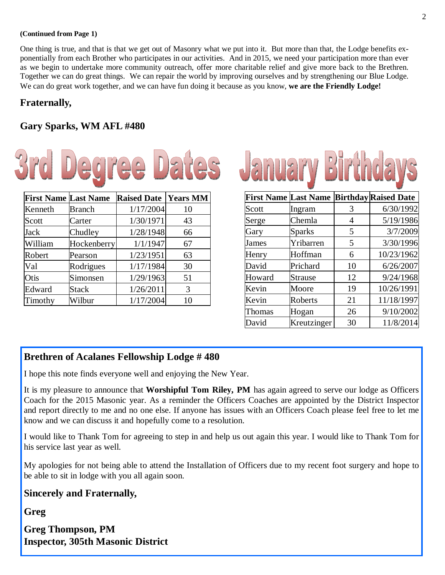#### **(Continued from Page 1)**

One thing is true, and that is that we get out of Masonry what we put into it. But more than that, the Lodge benefits exponentially from each Brother who participates in our activities. And in 2015, we need your participation more than ever as we begin to undertake more community outreach, offer more charitable relief and give more back to the Brethren. Together we can do great things. We can repair the world by improving ourselves and by strengthening our Blue Lodge. We can do great work together, and we can have fun doing it because as you know, **we are the Friendly Lodge!**

#### **Fraternally,**

#### **Gary Sparks, WM AFL #480**



| <b>First Name Last Name</b> |               | <b>Raised Date   Years MM</b> |    |
|-----------------------------|---------------|-------------------------------|----|
| Kenneth                     | <b>Branch</b> | 1/17/2004                     | 10 |
| Scott                       | Carter        | 1/30/1971                     | 43 |
| Jack                        | Chudley       | 1/28/1948                     | 66 |
| William                     | Hockenberry   | 1/1/1947                      | 67 |
| Robert                      | Pearson       | 1/23/1951                     | 63 |
| Val                         | Rodrigues     | 1/17/1984                     | 30 |
| Otis                        | Simonsen      | 1/29/1963                     | 51 |
| Edward                      | <b>Stack</b>  | 1/26/2011                     | 3  |
| Timothy                     | Wilbur        | 1/17/2004                     | 10 |



|        | <b>First Name Last Name</b> |    | <b>Birthday Raised Date</b> |
|--------|-----------------------------|----|-----------------------------|
| Scott  | Ingram                      | 3  | 6/30/1992                   |
| Serge  | Chemla                      | 4  | 5/19/1986                   |
| Gary   | <b>Sparks</b>               | 5  | 3/7/2009                    |
| James  | Yribarren                   | 5  | 3/30/1996                   |
| Henry  | Hoffman                     | 6  | 10/23/1962                  |
| David  | Prichard                    | 10 | 6/26/2007                   |
| Howard | <b>Strause</b>              | 12 | 9/24/1968                   |
| Kevin  | Moore                       | 19 | 10/26/1991                  |
| Kevin  | Roberts                     | 21 | 11/18/1997                  |
| Thomas | Hogan                       | 26 | 9/10/2002                   |
| David  | Kreutzinger                 | 30 | 11/8/2014                   |

#### **Brethren of Acalanes Fellowship Lodge # 480**

I hope this note finds everyone well and enjoying the New Year.

It is my pleasure to announce that **Worshipful Tom Riley, PM** has again agreed to serve our lodge as Officers Coach for the 2015 Masonic year. As a reminder the Officers Coaches are appointed by the District Inspector and report directly to me and no one else. If anyone has issues with an Officers Coach please feel free to let me know and we can discuss it and hopefully come to a resolution.

I would like to Thank Tom for agreeing to step in and help us out again this year. I would like to Thank Tom for his service last year as well.

My apologies for not being able to attend the Installation of Officers due to my recent foot surgery and hope to be able to sit in lodge with you all again soon.

#### **Sincerely and Fraternally,**

**Greg** 

**Greg Thompson, PM Inspector, 305th Masonic District**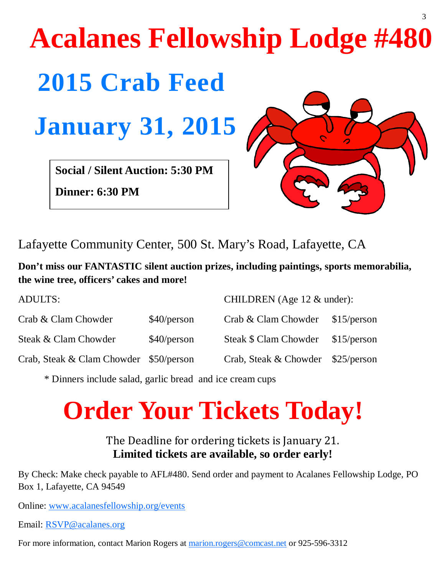## **2015 Crab Feed Acalanes Fellowship Lodge #480 January 31, 2015 Social / Silent Auction: 5:30 PM**

**Dinner: 6:30 PM** 



3

Lafayette Community Center, 500 St. Mary's Road, Lafayette, CA

**Don't miss our FANTASTIC silent auction prizes, including paintings, sports memorabilia, the wine tree, officers' cakes and more!** 

| <b>ADULTS:</b>                         | CHILDREN (Age $12 \&$ under): |                       |             |
|----------------------------------------|-------------------------------|-----------------------|-------------|
| Crab & Clam Chowder                    | \$40/person                   | Crab & Clam Chowder   | \$15/person |
| Steak & Clam Chowder                   | \$40/person                   | Steak \$ Clam Chowder | \$15/person |
| Crab, Steak & Clam Chowder \$50/person |                               | Crab, Steak & Chowder | \$25/person |

\* Dinners include salad, garlic bread and ice cream cups

### **Order Your Tickets Today!**

The Deadline for ordering tickets is January 21. **Limited tickets are available, so order early!** 

By Check: Make check payable to AFL#480. Send order and payment to Acalanes Fellowship Lodge, PO Box 1, Lafayette, CA 94549

Online: www.acalanesfellowship.org/events

Email: RSVP@acalanes.org

For more information, contact Marion Rogers at marion.rogers@comcast.net or 925-596-3312